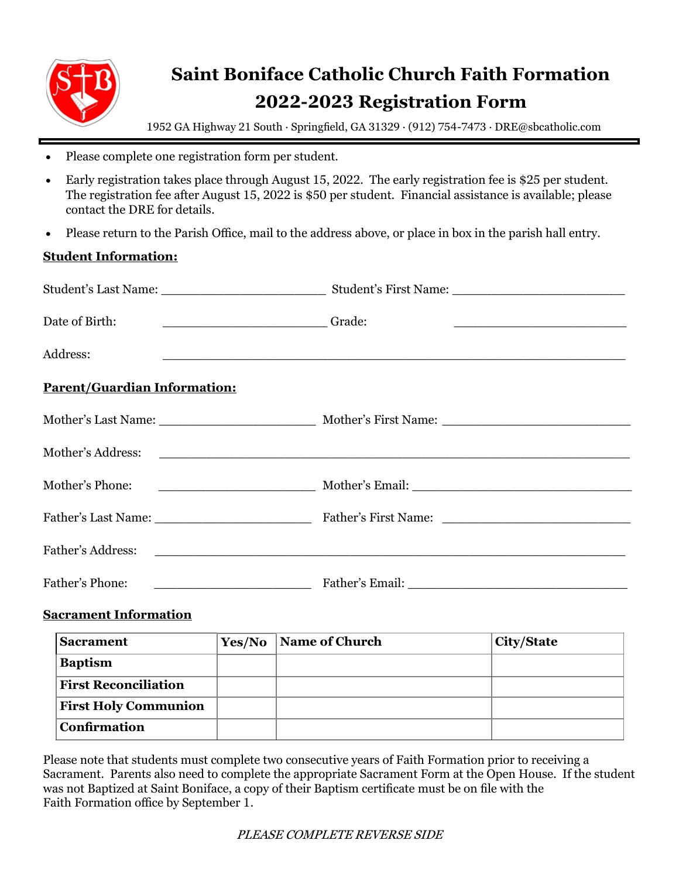

## **Saint Boniface Catholic Church Faith Formation 2022-2023 Registration Form**

1952 GA Highway 21 South · Springfield, GA 31329 · (912) 754-7473 · DRE@sbcatholic.com

- Please complete one registration form per student.
- Early registration takes place through August 15, 2022. The early registration fee is \$25 per student. The registration fee after August 15, 2022 is \$50 per student. Financial assistance is available; please contact the DRE for details.
- Please return to the Parish Office, mail to the address above, or place in box in the parish hall entry.

## **Student Information:**

| Date of Birth:<br>Crade:            |  |
|-------------------------------------|--|
| Address:                            |  |
| <b>Parent/Guardian Information:</b> |  |
|                                     |  |
|                                     |  |
|                                     |  |
|                                     |  |
|                                     |  |
| Father's Phone:                     |  |

## **Sacrament Information**

| <b>Sacrament</b>            | Yes/No | Name of Church | <b>City/State</b> |
|-----------------------------|--------|----------------|-------------------|
| <b>Baptism</b>              |        |                |                   |
| <b>First Reconciliation</b> |        |                |                   |
| <b>First Holy Communion</b> |        |                |                   |
| <b>Confirmation</b>         |        |                |                   |

Please note that students must complete two consecutive years of Faith Formation prior to receiving a Sacrament. Parents also need to complete the appropriate Sacrament Form at the Open House. If the student was not Baptized at Saint Boniface, a copy of their Baptism certificate must be on file with the Faith Formation office by September 1.